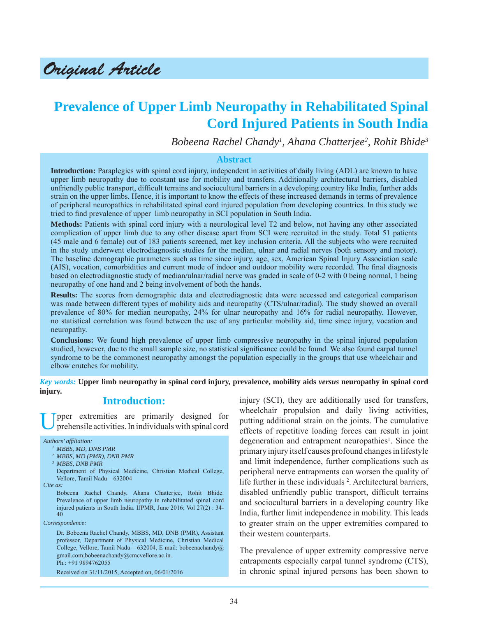Original Article

# **Prevalence of Upper Limb Neuropathy in Rehabilitated Spinal Cord Injured Patients in South India**

*Bobeena Rachel Chandy1 , Ahana Chatterjee2 , Rohit Bhide3*

#### **Abstract**

**Introduction:** Paraplegics with spinal cord injury, independent in activities of daily living (ADL) are known to have upper limb neuropathy due to constant use for mobility and transfers. Additionally architectural barriers, disabled unfriendly public transport, difficult terrains and sociocultural barriers in a developing country like India, further adds strain on the upper limbs. Hence, it is important to know the effects of these increased demands in terms of prevalence of peripheral neuropathies in rehabilitated spinal cord injured population from developing countries. In this study we tried to find prevalence of upper limb neuropathy in SCI population in South India.

**Methods:** Patients with spinal cord injury with a neurological level T2 and below, not having any other associated complication of upper limb due to any other disease apart from SCI were recruited in the study. Total 51 patients (45 male and 6 female) out of 183 patients screened, met key inclusion criteria. All the subjects who were recruited in the study underwent electrodiagnostic studies for the median, ulnar and radial nerves (both sensory and motor). The baseline demographic parameters such as time since injury, age, sex, American Spinal Injury Association scale (AIS), vocation, comorbidities and current mode of indoor and outdoor mobility were recorded. The final diagnosis based on electrodiagnostic study of median/ulnar/radial nerve was graded in scale of 0-2 with 0 being normal, 1 being neuropathy of one hand and 2 being involvement of both the hands.

**Results:** The scores from demographic data and electrodiagnostic data were accessed and categorical comparison was made between different types of mobility aids and neuropathy (CTS/ulnar/radial). The study showed an overall prevalence of 80% for median neuropathy, 24% for ulnar neuropathy and 16% for radial neuropathy. However, no statistical correlation was found between the use of any particular mobility aid, time since injury, vocation and neuropathy.

**Conclusions:** We found high prevalence of upper limb compressive neuropathy in the spinal injured population studied, however, due to the small sample size, no statistical significance could be found. We also found carpal tunnel syndrome to be the commonest neuropathy amongst the population especially in the groups that use wheelchair and elbow crutches for mobility.

*Key words:* **Upper limb neuropathy in spinal cord injury, prevalence, mobility aids** *versus* **neuropathy in spinal cord injury.**

# **Introduction:**

pper extremities are primarily designed for prehensile activities. In individuals with spinal cord

*Authors' affi liation:*

- *1 MBBS, MD, DNB PMR*
- *2 MBBS, MD (PMR), DNB PMR*
- *3 MBBS, DNB PMR*

 Department of Physical Medicine, Christian Medical College, Vellore, Tamil Nadu – 632004

*Cite as:*

 Bobeena Rachel Chandy, Ahana Chatterjee, Rohit Bhide. Prevalence of upper limb neuropathy in rehabilitated spinal cord injured patients in South India. IJPMR, June 2016; Vol 27(2) : 34- 40

*Correspondence:*

 Dr. Bobeena Rachel Chandy, MBBS, MD, DNB (PMR), Assistant professor, Department of Physical Medicine, Christian Medical College, Vellore, Tamil Nadu – 632004, E mail: bobeenachandy@ gmail.com;bobeenachandy@cmcvellore.ac.in. Ph.: +91 9894762055

injury (SCI), they are additionally used for transfers, wheelchair propulsion and daily living activities, putting additional strain on the joints. The cumulative effects of repetitive loading forces can result in joint degeneration and entrapment neuropathies<sup>1</sup>. Since the primary injury itself causes profound changes in lifestyle and limit independence, further complications such as peripheral nerve entrapments can worsen the quality of life further in these individuals<sup>2</sup>. Architectural barriers, disabled unfriendly public transport, difficult terrains and sociocultural barriers in a developing country like India, further limit independence in mobility. This leads to greater strain on the upper extremities compared to their western counterparts.

The prevalence of upper extremity compressive nerve entrapments especially carpal tunnel syndrome (CTS), in chronic spinal injured persons has been shown to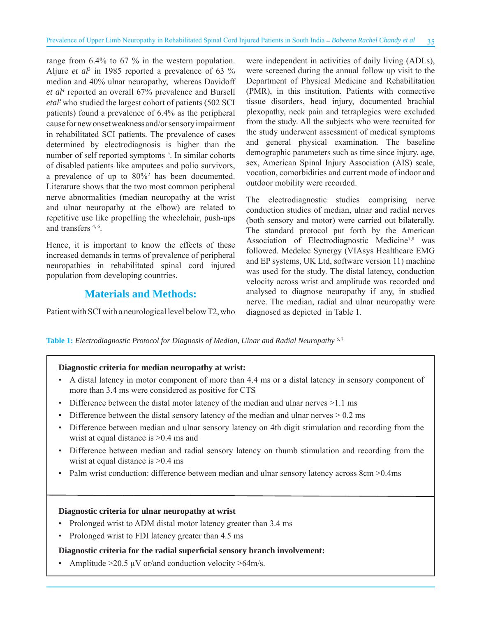range from 6.4% to 67 % in the western population. Aljure *et al*<sup>3</sup> in 1985 reported a prevalence of 63  $\%$ median and 40% ulnar neuropathy, whereas Davidoff *et al4* reported an overall 67% prevalence and Bursell etal<sup>5</sup> who studied the largest cohort of patients (502 SCI patients) found a prevalence of 6.4% as the peripheral cause for new onset weakness and/or sensory impairment in rehabilitated SCI patients. The prevalence of cases determined by electrodiagnosis is higher than the number of self reported symptoms<sup>5</sup>. In similar cohorts of disabled patients like amputees and polio survivors, a prevalence of up to 80%2 has been documented. Literature shows that the two most common peripheral nerve abnormalities (median neuropathy at the wrist and ulnar neuropathy at the elbow) are related to repetitive use like propelling the wheelchair, push-ups and transfers 4, 6.

Hence, it is important to know the effects of these increased demands in terms of prevalence of peripheral neuropathies in rehabilitated spinal cord injured population from developing countries.

# **Materials and Methods:**

Patient with SCI with a neurological level below T2, who

were independent in activities of daily living (ADLs), were screened during the annual follow up visit to the Department of Physical Medicine and Rehabilitation (PMR), in this institution. Patients with connective tissue disorders, head injury, documented brachial plexopathy, neck pain and tetraplegics were excluded from the study. All the subjects who were recruited for the study underwent assessment of medical symptoms and general physical examination. The baseline demographic parameters such as time since injury, age, sex, American Spinal Injury Association (AIS) scale, vocation, comorbidities and current mode of indoor and outdoor mobility were recorded.

The electrodiagnostic studies comprising nerve conduction studies of median, ulnar and radial nerves (both sensory and motor) were carried out bilaterally. The standard protocol put forth by the American Association of Electrodiagnostic Medicine<sup>7,8</sup> was followed. Medelec Synergy (VIAsys Healthcare EMG and EP systems, UK Ltd, software version 11) machine was used for the study. The distal latency, conduction velocity across wrist and amplitude was recorded and analysed to diagnose neuropathy if any, in studied nerve. The median, radial and ulnar neuropathy were diagnosed as depicted in Table 1.

**Table 1:** *Electrodiagnostic Protocol for Diagnosis of Median, Ulnar and Radial Neuropathy* 6, 7

#### **Diagnostic criteria for median neuropathy at wrist:**

- A distal latency in motor component of more than 4.4 ms or a distal latency in sensory component of more than 3.4 ms were considered as positive for CTS
- Difference between the distal motor latency of the median and ulnar nerves >1.1 ms
- Difference between the distal sensory latency of the median and ulnar nerves  $> 0.2$  ms
- Difference between median and ulnar sensory latency on 4th digit stimulation and recording from the wrist at equal distance is >0.4 ms and
- Difference between median and radial sensory latency on thumb stimulation and recording from the wrist at equal distance is >0.4 ms
- Palm wrist conduction: difference between median and ulnar sensory latency across 8cm >0.4ms

#### **Diagnostic criteria for ulnar neuropathy at wrist**

- Prolonged wrist to ADM distal motor latency greater than 3.4 ms
- Prolonged wrist to FDI latency greater than 4.5 ms

#### **Diagnostic criteria for the radial superficial sensory branch involvement:**

• Amplitude  $>20.5 \mu V$  or/and conduction velocity  $>64 \text{m/s}$ .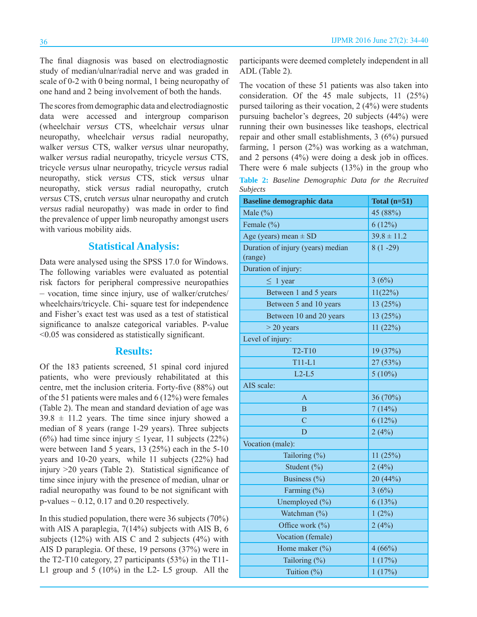The final diagnosis was based on electrodiagnostic study of median/ulnar/radial nerve and was graded in scale of 0-2 with 0 being normal, 1 being neuropathy of one hand and 2 being involvement of both the hands.

The scores from demographic data and electrodiagnostic data were accessed and intergroup comparison (wheelchair *versus* CTS, wheelchair *versus* ulnar neuropathy, wheelchair *versus* radial neuropathy, walker *versus* CTS, walker *versus* ulnar neuropathy, walker *versus* radial neuropathy, tricycle *versus* CTS, tricycle *versus* ulnar neuropathy, tricycle *versus* radial neuropathy, stick *versus* CTS, stick *versus* ulnar neuropathy, stick *versus* radial neuropathy, crutch *versus* CTS, crutch *versus* ulnar neuropathy and crutch *versus* radial neuropathy) was made in order to find the prevalence of upper limb neuropathy amongst users with various mobility aids.

#### **Statistical Analysis:**

Data were analysed using the SPSS 17.0 for Windows. The following variables were evaluated as potential risk factors for peripheral compressive neuropathies – vocation, time since injury, use of walker/crutches/ wheelchairs/tricycle. Chi- square test for independence and Fisher's exact test was used as a test of statistical significance to analsze categorical variables. P-value  $\leq$ 0.05 was considered as statistically significant.

### **Results:**

Of the 183 patients screened, 51 spinal cord injured patients, who were previously rehabilitated at this centre, met the inclusion criteria. Forty-five (88%) out of the 51 patients were males and 6 (12%) were females (Table 2). The mean and standard deviation of age was  $39.8 \pm 11.2$  years. The time since injury showed a median of 8 years (range 1-29 years). Three subjects (6%) had time since injury  $\leq$  1 year, 11 subjects (22%) were between 1and 5 years, 13 (25%) each in the 5-10 years and 10-20 years, while 11 subjects (22%) had injury  $>20$  years (Table 2). Statistical significance of time since injury with the presence of median, ulnar or radial neuropathy was found to be not significant with  $p$ -values  $\sim 0.12$ , 0.17 and 0.20 respectively.

In this studied population, there were 36 subjects (70%) with AIS A paraplegia, 7(14%) subjects with AIS B, 6 subjects (12%) with AIS C and 2 subjects (4%) with AIS D paraplegia. Of these, 19 persons (37%) were in the T2-T10 category, 27 participants (53%) in the T11- L1 group and 5 (10%) in the L2- L5 group. All the participants were deemed completely independent in all ADL (Table 2).

The vocation of these 51 patients was also taken into consideration. Of the 45 male subjects, 11 (25%) pursed tailoring as their vocation, 2 (4%) were students pursuing bachelor's degrees, 20 subjects (44%) were running their own businesses like teashops, electrical repair and other small establishments, 3 (6%) pursued farming, 1 person  $(2%)$  was working as a watchman, and 2 persons  $(4\%)$  were doing a desk job in offices. There were 6 male subjects (13%) in the group who

**Table 2:** *Baseline Demographic Data for the Recruited Subjects*

| <b>Baseline demographic data</b>             | Total $(n=51)$  |  |  |
|----------------------------------------------|-----------------|--|--|
| Male $(\%)$                                  | 45 (88%)        |  |  |
| Female $(\% )$                               | 6(12%)          |  |  |
| Age (years) mean $\pm$ SD                    | $39.8 \pm 11.2$ |  |  |
| Duration of injury (years) median<br>(range) | $8(1 - 29)$     |  |  |
| Duration of injury:                          |                 |  |  |
| $\leq 1$ year                                | 3(6%)           |  |  |
| Between 1 and 5 years                        | 11(22%)         |  |  |
| Between 5 and 10 years                       | 13(25%)         |  |  |
| Between 10 and 20 years                      | 13 (25%)        |  |  |
| $>$ 20 years                                 | 11(22%)         |  |  |
| Level of injury:                             |                 |  |  |
| T2-T10                                       | 19 (37%)        |  |  |
| $T11-L1$                                     | 27 (53%)        |  |  |
| $L2-L5$                                      | $5(10\%)$       |  |  |
| AIS scale:                                   |                 |  |  |
| $\overline{A}$                               | 36 (70%)        |  |  |
| B                                            | 7(14%)          |  |  |
| $\overline{C}$                               | 6(12%)          |  |  |
| D                                            | 2(4%)           |  |  |
| Vocation (male):                             |                 |  |  |
| Tailoring (%)                                | 11(25%)         |  |  |
| Student (%)                                  | 2(4%)           |  |  |
| Business (%)                                 | 20 (44%)        |  |  |
| Farming (%)                                  | 3(6%)           |  |  |
| Unemployed (%)                               | 6(13%)          |  |  |
| Watchman (%)                                 | $1(2\%)$        |  |  |
| Office work (%)                              | 2(4%)           |  |  |
| Vocation (female)                            |                 |  |  |
| Home maker $(\%)$                            | 4(66%)          |  |  |
| Tailoring (%)                                | 1(17%)          |  |  |
| Tuition (%)                                  | 1(17%)          |  |  |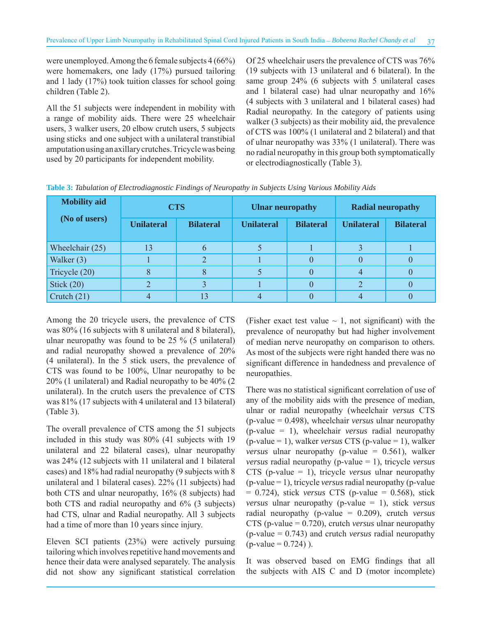were unemployed. Among the 6 female subjects 4 (66%) were homemakers, one lady (17%) pursued tailoring and 1 lady (17%) took tuition classes for school going children (Table 2).

All the 51 subjects were independent in mobility with a range of mobility aids. There were 25 wheelchair users, 3 walker users, 20 elbow crutch users, 5 subjects using sticks and one subject with a unilateral transtibial amputation using an axillary crutches. Tricycle was being used by 20 participants for independent mobility.

Of 25 wheelchair users the prevalence of CTS was 76% (19 subjects with 13 unilateral and 6 bilateral). In the same group 24% (6 subjects with 5 unilateral cases and 1 bilateral case) had ulnar neuropathy and 16% (4 subjects with 3 unilateral and 1 bilateral cases) had Radial neuropathy. In the category of patients using walker (3 subjects) as their mobility aid, the prevalence of CTS was 100% (1 unilateral and 2 bilateral) and that of ulnar neuropathy was 33% (1 unilateral). There was no radial neuropathy in this group both symptomatically or electrodiagnostically (Table 3).

| <b>Mobility</b> aid<br>(No of users) | <b>CTS</b>        |                  | <b>Ulnar neuropathy</b> |                  | <b>Radial neuropathy</b> |                  |
|--------------------------------------|-------------------|------------------|-------------------------|------------------|--------------------------|------------------|
|                                      | <b>Unilateral</b> | <b>Bilateral</b> | <b>Unilateral</b>       | <b>Bilateral</b> | <b>Unilateral</b>        | <b>Bilateral</b> |
| Wheelchair $(25)$                    | 13                | 6                |                         |                  |                          |                  |
| Walker (3)                           |                   | $\overline{2}$   |                         |                  | $\theta$                 |                  |
| Tricycle (20)                        | 8                 | 8                |                         |                  | $\overline{4}$           |                  |
| Stick $(20)$                         |                   | 3                |                         |                  | $\overline{2}$           |                  |
| Crutch $(21)$                        |                   | 13               |                         |                  |                          |                  |

**Table 3:** *Tabulation of Electrodiagnostic Findings of Neuropathy in Subjects Using Various Mobility Aids*

Among the 20 tricycle users, the prevalence of CTS was 80% (16 subjects with 8 unilateral and 8 bilateral), ulnar neuropathy was found to be 25 % (5 unilateral) and radial neuropathy showed a prevalence of 20% (4 unilateral). In the 5 stick users, the prevalence of CTS was found to be 100%, Ulnar neuropathy to be 20% (1 unilateral) and Radial neuropathy to be 40% (2 unilateral). In the crutch users the prevalence of CTS was 81% (17 subjects with 4 unilateral and 13 bilateral) (Table 3).

The overall prevalence of CTS among the 51 subjects included in this study was 80% (41 subjects with 19 unilateral and 22 bilateral cases), ulnar neuropathy was 24% (12 subjects with 11 unilateral and 1 bilateral cases) and 18% had radial neuropathy (9 subjects with 8 unilateral and 1 bilateral cases). 22% (11 subjects) had both CTS and ulnar neuropathy, 16% (8 subjects) had both CTS and radial neuropathy and 6% (3 subjects) had CTS, ulnar and Radial neuropathy. All 3 subjects had a time of more than 10 years since injury.

Eleven SCI patients (23%) were actively pursuing tailoring which involves repetitive hand movements and hence their data were analysed separately. The analysis did not show any significant statistical correlation (Fisher exact test value  $\sim$  1, not significant) with the prevalence of neuropathy but had higher involvement of median nerve neuropathy on comparison to others. As most of the subjects were right handed there was no significant difference in handedness and prevalence of neuropathies.

There was no statistical significant correlation of use of any of the mobility aids with the presence of median, ulnar or radial neuropathy (wheelchair *versus* CTS (p-value = 0.498), wheelchair *versus* ulnar neuropathy (p-value = 1), wheelchair *versus* radial neuropathy (p-value = 1), walker *versus* CTS (p-value = 1), walker *versus* ulnar neuropathy (p-value = 0.561), walker *versus* radial neuropathy (p-value = 1), tricycle *versus* CTS (p-value = 1), tricycle *versus* ulnar neuropathy (p-value = 1), tricycle *versus* radial neuropathy (p-value = 0.724), stick *versus* CTS (p-value = 0.568), stick *versus* ulnar neuropathy (p-value = 1), stick *versus* radial neuropathy (p-value = 0.209), crutch *versus* CTS (p-value = 0.720), crutch *versus* ulnar neuropathy (p-value = 0.743) and crutch *versus* radial neuropathy  $(p-value = 0.724)$ .

It was observed based on EMG findings that all the subjects with AIS C and D (motor incomplete)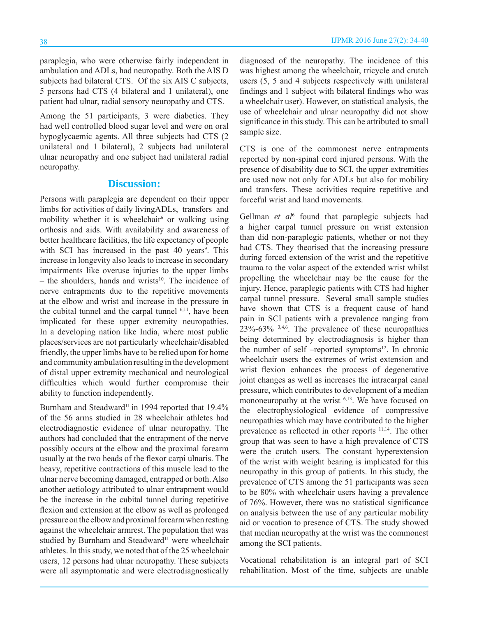paraplegia, who were otherwise fairly independent in ambulation and ADLs, had neuropathy. Both the AIS D subjects had bilateral CTS. Of the six AIS C subjects, 5 persons had CTS (4 bilateral and 1 unilateral), one patient had ulnar, radial sensory neuropathy and CTS.

Among the 51 participants, 3 were diabetics. They had well controlled blood sugar level and were on oral hypoglycaemic agents. All three subjects had CTS (2 unilateral and 1 bilateral), 2 subjects had unilateral ulnar neuropathy and one subject had unilateral radial neuropathy.

#### **Discussion:**

Persons with paraplegia are dependent on their upper limbs for activities of daily livingADLs, transfers and mobility whether it is wheelchair $6$  or walking using orthosis and aids. With availability and awareness of better healthcare facilities, the life expectancy of people with SCI has increased in the past  $40$  years<sup>9</sup>. This increase in longevity also leads to increase in secondary impairments like overuse injuries to the upper limbs  $-$  the shoulders, hands and wrists<sup>10</sup>. The incidence of nerve entrapments due to the repetitive movements at the elbow and wrist and increase in the pressure in the cubital tunnel and the carpal tunnel <sup>6,11</sup>, have been implicated for these upper extremity neuropathies. In a developing nation like India, where most public places/services are not particularly wheelchair/disabled friendly, the upper limbs have to be relied upon for home and community ambulation resulting in the development of distal upper extremity mechanical and neurological difficulties which would further compromise their ability to function independently.

Burnham and Steadward<sup>11</sup> in 1994 reported that 19.4% of the 56 arms studied in 28 wheelchair athletes had electrodiagnostic evidence of ulnar neuropathy. The authors had concluded that the entrapment of the nerve possibly occurs at the elbow and the proximal forearm usually at the two heads of the flexor carpi ulnaris. The heavy, repetitive contractions of this muscle lead to the ulnar nerve becoming damaged, entrapped or both. Also another aetiology attributed to ulnar entrapment would be the increase in the cubital tunnel during repetitive flexion and extension at the elbow as well as prolonged pressure on the elbow and proximal forearm when resting against the wheelchair armrest. The population that was studied by Burnham and Steadward<sup>11</sup> were wheelchair athletes. In this study, we noted that of the 25 wheelchair users, 12 persons had ulnar neuropathy. These subjects were all asymptomatic and were electrodiagnostically diagnosed of the neuropathy. The incidence of this was highest among the wheelchair, tricycle and crutch users (5, 5 and 4 subjects respectively with unilateral findings and 1 subject with bilateral findings who was a wheelchair user). However, on statistical analysis, the use of wheelchair and ulnar neuropathy did not show significance in this study. This can be attributed to small sample size.

CTS is one of the commonest nerve entrapments reported by non-spinal cord injured persons. With the presence of disability due to SCI, the upper extremities are used now not only for ADLs but also for mobility and transfers. These activities require repetitive and forceful wrist and hand movements.

Gellman et al<sup>6</sup> found that paraplegic subjects had a higher carpal tunnel pressure on wrist extension than did non-paraplegic patients, whether or not they had CTS. They theorised that the increasing pressure during forced extension of the wrist and the repetitive trauma to the volar aspect of the extended wrist whilst propelling the wheelchair may be the cause for the injury. Hence, paraplegic patients with CTS had higher carpal tunnel pressure. Several small sample studies have shown that CTS is a frequent cause of hand pain in SCI patients with a prevalence ranging from  $23\% - 63\%$  <sup>3,4,6</sup>. The prevalence of these neuropathies being determined by electrodiagnosis is higher than the number of self –reported symptoms<sup>12</sup>. In chronic wheelchair users the extremes of wrist extension and wrist flexion enhances the process of degenerative joint changes as well as increases the intracarpal canal pressure, which contributes to development of a median mononeuropathy at the wrist <sup>6,13</sup>. We have focused on the electrophysiological evidence of compressive neuropathies which may have contributed to the higher prevalence as reflected in other reports <sup>11,14</sup>. The other group that was seen to have a high prevalence of CTS were the crutch users. The constant hyperextension of the wrist with weight bearing is implicated for this neuropathy in this group of patients. In this study, the prevalence of CTS among the 51 participants was seen to be 80% with wheelchair users having a prevalence of 76%. However, there was no statistical significance on analysis between the use of any particular mobility aid or vocation to presence of CTS. The study showed that median neuropathy at the wrist was the commonest among the SCI patients.

Vocational rehabilitation is an integral part of SCI rehabilitation. Most of the time, subjects are unable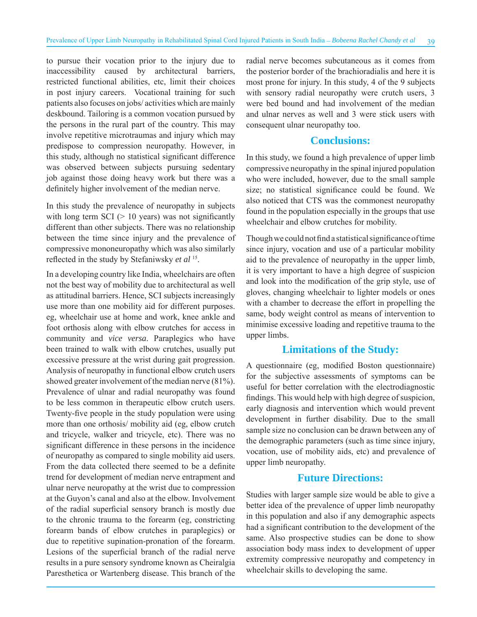to pursue their vocation prior to the injury due to inaccessibility caused by architectural barriers, restricted functional abilities, etc, limit their choices in post injury careers. Vocational training for such patients also focuses on jobs/ activities which are mainly deskbound. Tailoring is a common vocation pursued by the persons in the rural part of the country. This may involve repetitive microtraumas and injury which may predispose to compression neuropathy. However, in this study, although no statistical significant difference was observed between subjects pursuing sedentary job against those doing heavy work but there was a definitely higher involvement of the median nerve.

In this study the prevalence of neuropathy in subjects with long term  $SCI$  ( $> 10$  years) was not significantly different than other subjects. There was no relationship between the time since injury and the prevalence of compressive mononeuropathy which was also similarly reflected in the study by Stefaniwsky *et al* <sup>15</sup>.

In a developing country like India, wheelchairs are often not the best way of mobility due to architectural as well as attitudinal barriers. Hence, SCI subjects increasingly use more than one mobility aid for different purposes. eg, wheelchair use at home and work, knee ankle and foot orthosis along with elbow crutches for access in community and *vice versa*. Paraplegics who have been trained to walk with elbow crutches, usually put excessive pressure at the wrist during gait progression. Analysis of neuropathy in functional elbow crutch users showed greater involvement of the median nerve (81%). Prevalence of ulnar and radial neuropathy was found to be less common in therapeutic elbow crutch users. Twenty-five people in the study population were using more than one orthosis/ mobility aid (eg, elbow crutch and tricycle, walker and tricycle, etc). There was no significant difference in these persons in the incidence of neuropathy as compared to single mobility aid users. From the data collected there seemed to be a definite trend for development of median nerve entrapment and ulnar nerve neuropathy at the wrist due to compression at the Guyon's canal and also at the elbow. Involvement of the radial superficial sensory branch is mostly due to the chronic trauma to the forearm (eg, constricting forearm bands of elbow crutches in paraplegics) or due to repetitive supination-pronation of the forearm. Lesions of the superficial branch of the radial nerve results in a pure sensory syndrome known as Cheiralgia Paresthetica or Wartenberg disease. This branch of the radial nerve becomes subcutaneous as it comes from the posterior border of the brachioradialis and here it is most prone for injury. In this study, 4 of the 9 subjects with sensory radial neuropathy were crutch users, 3 were bed bound and had involvement of the median and ulnar nerves as well and 3 were stick users with consequent ulnar neuropathy too.

#### **Conclusions:**

In this study, we found a high prevalence of upper limb compressive neuropathy in the spinal injured population who were included, however, due to the small sample size; no statistical significance could be found. We also noticed that CTS was the commonest neuropathy found in the population especially in the groups that use wheelchair and elbow crutches for mobility.

Though we could not find a statistical significance of time since injury, vocation and use of a particular mobility aid to the prevalence of neuropathy in the upper limb, it is very important to have a high degree of suspicion and look into the modification of the grip style, use of gloves, changing wheelchair to lighter models or ones with a chamber to decrease the effort in propelling the same, body weight control as means of intervention to minimise excessive loading and repetitive trauma to the upper limbs.

#### **Limitations of the Study:**

A questionnaire (eg, modified Boston questionnaire) for the subjective assessments of symptoms can be useful for better correlation with the electrodiagnostic findings. This would help with high degree of suspicion, early diagnosis and intervention which would prevent development in further disability. Due to the small sample size no conclusion can be drawn between any of the demographic parameters (such as time since injury, vocation, use of mobility aids, etc) and prevalence of upper limb neuropathy.

#### **Future Directions:**

Studies with larger sample size would be able to give a better idea of the prevalence of upper limb neuropathy in this population and also if any demographic aspects had a significant contribution to the development of the same. Also prospective studies can be done to show association body mass index to development of upper extremity compressive neuropathy and competency in wheelchair skills to developing the same.